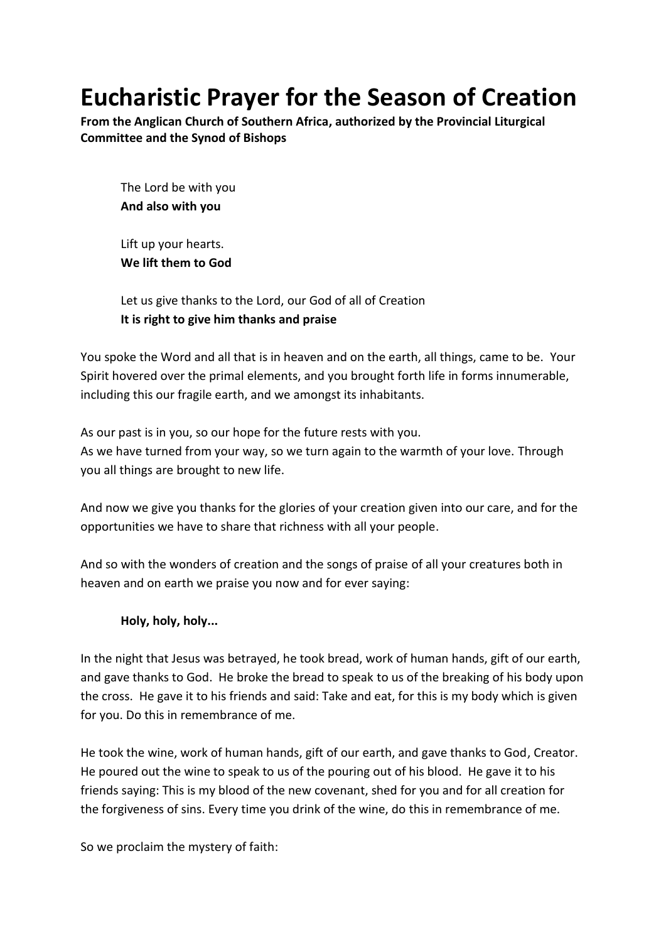# **Eucharistic Prayer for the Season of Creation**

**From the Anglican Church of Southern Africa, authorized by the Provincial Liturgical Committee and the Synod of Bishops**

The Lord be with you **And also with you**

Lift up your hearts. **We lift them to God**

Let us give thanks to the Lord, our God of all of Creation **It is right to give him thanks and praise**

You spoke the Word and all that is in heaven and on the earth, all things, came to be. Your Spirit hovered over the primal elements, and you brought forth life in forms innumerable, including this our fragile earth, and we amongst its inhabitants.

As our past is in you, so our hope for the future rests with you. As we have turned from your way, so we turn again to the warmth of your love. Through you all things are brought to new life.

And now we give you thanks for the glories of your creation given into our care, and for the opportunities we have to share that richness with all your people.

And so with the wonders of creation and the songs of praise of all your creatures both in heaven and on earth we praise you now and for ever saying:

## **Holy, holy, holy...**

In the night that Jesus was betrayed, he took bread, work of human hands, gift of our earth, and gave thanks to God. He broke the bread to speak to us of the breaking of his body upon the cross. He gave it to his friends and said: Take and eat, for this is my body which is given for you. Do this in remembrance of me.

He took the wine, work of human hands, gift of our earth, and gave thanks to God, Creator. He poured out the wine to speak to us of the pouring out of his blood. He gave it to his friends saying: This is my blood of the new covenant, shed for you and for all creation for the forgiveness of sins. Every time you drink of the wine, do this in remembrance of me.

So we proclaim the mystery of faith: